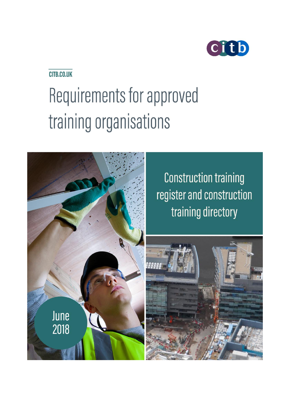

# CITB.CO.UK

# Requirements for approved training organisations



**Construction training** register and construction training directory

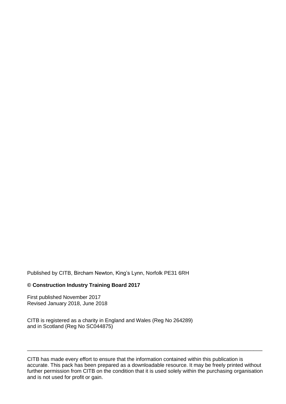Published by CITB, Bircham Newton, King's Lynn, Norfolk PE31 6RH

#### **© Construction Industry Training Board 2017**

First published November 2017 Revised January 2018, June 2018

CITB is registered as a charity in England and Wales (Reg No 264289) and in Scotland (Reg No SC044875)

CITB has made every effort to ensure that the information contained within this publication is accurate. This pack has been prepared as a downloadable resource. It may be freely printed without further permission from CITB on the condition that it is used solely within the purchasing organisation and is not used for profit or gain.

\_\_\_\_\_\_\_\_\_\_\_\_\_\_\_\_\_\_\_\_\_\_\_\_\_\_\_\_\_\_\_\_\_\_\_\_\_\_\_\_\_\_\_\_\_\_\_\_\_\_\_\_\_\_\_\_\_\_\_\_\_\_\_\_\_\_\_\_\_\_\_\_\_\_\_\_\_\_\_\_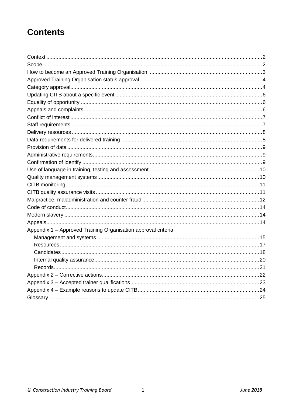# **Contents**

| Appendix 1 - Approved Training Organisation approval criteria |  |
|---------------------------------------------------------------|--|
|                                                               |  |
|                                                               |  |
|                                                               |  |
|                                                               |  |
|                                                               |  |
|                                                               |  |
|                                                               |  |
|                                                               |  |
|                                                               |  |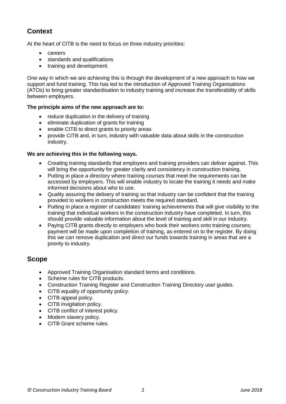# **Context**

At the heart of CITB is the need to focus on three industry priorities:

- careers
- standards and qualifications
- training and development.

One way in which we are achieving this is through the development of a new approach to how we support and fund training. This has led to the introduction of Approved Training Organisations (ATOs) to bring greater standardisation to industry training and increase the transferability of skills between employers.

#### **The principle aims of the new approach are to:**

- reduce duplication in the delivery of training
- eliminate duplication of grants for training
- enable CITB to direct grants to priority areas
- provide CITB and, in turn, industry with valuable data about skills in the construction industry.

#### **We are achieving this in the following ways.**

- Creating training standards that employers and training providers can deliver against. This will bring the opportunity for greater clarity and consistency in construction training.
- Putting in place a directory where training courses that meet the requirements can be accessed by employers. This will enable industry to locate the training it needs and make informed decisions about who to use.
- Quality assuring the delivery of training so that industry can be confident that the training provided to workers in construction meets the required standard.
- Putting in place a register of candidates' training achievements that will give visibility to the training that individual workers in the construction industry have completed. In turn, this should provide valuable information about the level of training and skill in our industry.
- Paying CITB grants directly to employers who book their workers onto training courses; payment will be made upon completion of training, as entered on to the register. By doing this we can remove duplication and direct our funds towards training in areas that are a priority to industry.

### **Scope**

- Approved Training Organisation standard terms and conditions.
- Scheme rules for CITB products.
- Construction Training Register and Construction Training Directory user guides.
- CITB equality of opportunity policy.
- CITB appeal policy.
- CITB invigilation policy.
- CITB conflict of interest policy.
- Modern slavery policy.
- CITB Grant scheme rules.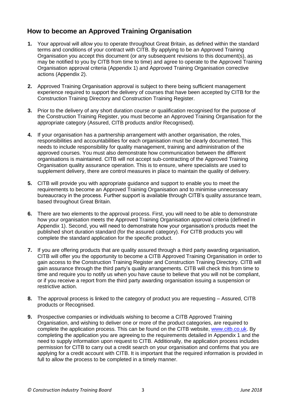# **How to become an Approved Training Organisation**

- **1.** Your approval will allow you to operate throughout Great Britain, as defined within the standard terms and conditions of your contract with CITB. By applying to be an Approved Training Organisation you accept this document (or any subsequent revisions to this document(s), as may be notified to you by CITB from time to time) and agree to operate to the Approved Training Organisation approval criteria (Appendix 1) and Approved Training Organisation corrective actions (Appendix 2).
- **2.** Approved Training Organisation approval is subject to there being sufficient management experience required to support the delivery of courses that have been accepted by CITB for the Construction Training Directory and Construction Training Register.
- **3.** Prior to the delivery of any short duration course or qualification recognised for the purpose of the Construction Training Register, you must become an Approved Training Organisation for the appropriate category (Assured, CITB products and/or Recognised).
- **4.** If your organisation has a partnership arrangement with another organisation, the roles, responsibilities and accountabilities for each organisation must be clearly documented. This needs to include responsibility for quality management, training and administration of the approved courses. You must also demonstrate how communication between the different organisations is maintained. CITB will not accept sub-contracting of the Approved Training Organisation quality assurance operation. This is to ensure, where specialists are used to supplement delivery, there are control measures in place to maintain the quality of delivery.
- **5.** CITB will provide you with appropriate guidance and support to enable you to meet the requirements to become an Approved Training Organisation and to minimise unnecessary bureaucracy in the process. Further support is available through CITB's quality assurance team, based throughout Great Britain.
- **6.** There are two elements to the approval process. First, you will need to be able to demonstrate how your organisation meets the Approved Training Organisation approval criteria (defined in Appendix 1). Second, you will need to demonstrate how your organisation's products meet the published short duration standard (for the assured category). For CITB products you will complete the standard application for the specific product.
- **7.** If you are offering products that are quality assured through a third party awarding organisation, CITB will offer you the opportunity to become a CITB Approved Training Organisation in order to gain access to the Construction Training Register and Construction Training Directory. CITB will gain assurance through the third party's quality arrangements. CITB will check this from time to time and require you to notify us when you have cause to believe that you will not be compliant, or if you receive a report from the third party awarding organisation issuing a suspension or restrictive action.
- **8.** The approval process is linked to the category of product you are requesting Assured, CITB products or Recognised.
- **9.** Prospective companies or individuals wishing to become a CITB Approved Training Organisation, and wishing to deliver one or more of the product categories, are required to complete the application process. This can be found on the CITB website, [www.citb.co.uk.](http://www.citb.co.uk/) By completing the application you are agreeing to the requirements detailed in Appendix 1 and the need to supply information upon request to CITB. Additionally, the application process includes permission for CITB to carry out a credit search on your organisation and confirms that you are applying for a credit account with CITB. It is important that the required information is provided in full to allow the process to be completed in a timely manner.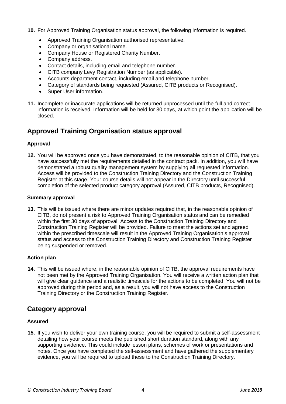**10.** For Approved Training Organisation status approval, the following information is required.

- Approved Training Organisation authorised representative.
- Company or organisational name.
- Company House or Registered Charity Number.
- Company address.
- Contact details, including email and telephone number.
- CITB company Levy Registration Number (as applicable).
- Accounts department contact, including email and telephone number.
- Category of standards being requested (Assured, CITB products or Recognised).
- Super User information.
- **11.** Incomplete or inaccurate applications will be returned unprocessed until the full and correct information is received. Information will be held for 30 days, at which point the application will be closed.

### **Approved Training Organisation status approval**

#### **Approval**

**12.** You will be approved once you have demonstrated, to the reasonable opinion of CITB, that you have successfully met the requirements detailed in the contract pack. In addition, you will have demonstrated a robust quality management system by supplying all requested information. Access will be provided to the Construction Training Directory and the Construction Training Register at this stage. Your course details will not appear in the Directory until successful completion of the selected product category approval (Assured, CITB products, Recognised).

#### **Summary approval**

**13.** This will be issued where there are minor updates required that, in the reasonable opinion of CITB, do not present a risk to Approved Training Organisation status and can be remedied within the first 30 days of approval. Access to the Construction Training Directory and Construction Training Register will be provided. Failure to meet the actions set and agreed within the prescribed timescale will result in the Approved Training Organisation's approval status and access to the Construction Training Directory and Construction Training Register being suspended or removed.

#### **Action plan**

**14.** This will be issued where, in the reasonable opinion of CITB, the approval requirements have not been met by the Approved Training Organisation. You will receive a written action plan that will give clear guidance and a realistic timescale for the actions to be completed. You will not be approved during this period and, as a result, you will not have access to the Construction Training Directory or the Construction Training Register.

### **Category approval**

#### **Assured**

**15.** If you wish to deliver your own training course, you will be required to submit a self-assessment detailing how your course meets the published short duration standard, along with any supporting evidence. This could include lesson plans, schemes of work or presentations and notes. Once you have completed the self-assessment and have gathered the supplementary evidence, you will be required to upload these to the Construction Training Directory.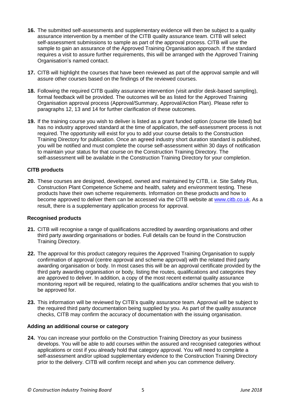- **16.** The submitted self-assessments and supplementary evidence will then be subject to a quality assurance intervention by a member of the CITB quality assurance team. CITB will select self-assessment submissions to sample as part of the approval process. CITB will use the sample to gain an assurance of the Approved Training Organisation approach. If the standard requires a visit to assure further requirements, this will be arranged with the Approved Training Organisation's named contact.
- **17.** CITB will highlight the courses that have been reviewed as part of the approval sample and will assure other courses based on the findings of the reviewed courses.
- **18.** Following the required CITB quality assurance intervention (visit and/or desk-based sampling), formal feedback will be provided. The outcomes will be as listed for the Approved Training Organisation approval process (Approval/Summary, Approval/Action Plan). Please refer to paragraphs 12, 13 and 14 for further clarification of these outcomes.
- **19.** If the training course you wish to deliver is listed as a grant funded option (course title listed) but has no industry approved standard at the time of application, the self-assessment process is not required. The opportunity will exist for you to add your course details to the Construction Training Directory for publication. Once an agreed industry short duration standard is published, you will be notified and must complete the course self-assessment within 30 days of notification to maintain your status for that course on the Construction Training Directory. The self-assessment will be available in the Construction Training Directory for your completion.

#### **CITB products**

**20.** These courses are designed, developed, owned and maintained by CITB, i.e. Site Safety Plus, Construction Plant Competence Scheme and health, safety and environment testing. These products have their own scheme requirements. Information on these products and how to become approved to deliver them can be accessed via the CITB website at [www.citb.co.uk](http://www.citb.co.uk/). As a result, there is a supplementary application process for approval.

#### **Recognised products**

- **21.** CITB will recognise a range of qualifications accredited by awarding organisations and other third party awarding organisations or bodies. Full details can be found in the Construction Training Directory.
- **22.** The approval for this product category requires the Approved Training Organisation to supply confirmation of approval (centre approval and scheme approval) with the related third party awarding organisation or body. In most cases this will be an approval certificate provided by the third party awarding organisation or body, listing the routes, qualifications and categories they are approved to deliver. In addition, a copy of the most recent external quality assurance monitoring report will be required, relating to the qualifications and/or schemes that you wish to be approved for.
- **23.** This information will be reviewed by CITB's quality assurance team. Approval will be subject to the required third party documentation being supplied by you. As part of the quality assurance checks, CITB may confirm the accuracy of documentation with the issuing organisation.

#### **Adding an additional course or category**

**24.** You can increase your portfolio on the Construction Training Directory as your business develops. You will be able to add courses within the assured and recognised categories without applications or cost if you already hold that category approval. You will need to complete a self-assessment and/or upload supplementary evidence to the Construction Training Directory prior to the delivery. CITB will confirm receipt and when you can commence delivery.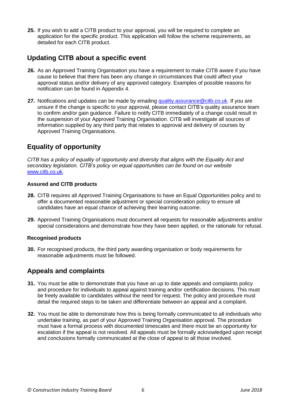**25.** If you wish to add a CITB product to your approval, you will be required to complete an application for the specific product. This application will follow the scheme requirements, as detailed for each CITB product.

## **Updating CITB about a specific event**

- **26.** As an Approved Training Organisation you have a requirement to make CITB aware if you have cause to believe that there has been any change in circumstances that could affect your approval status and/or delivery of any approved category. Examples of possible reasons for notification can be found in Appendix 4.
- 27. Notifications and updates can be made by emailing [quality.assurance@citb.co.uk.](mailto:quality.assurance@citb.co.uk) If you are unsure if the change is specific to your approval, please contact CITB's quality assurance team to confirm and/or gain guidance. Failure to notify CITB immediately of a change could result in the suspension of your Approved Training Organisation. CITB will investigate all sources of information supplied by any third party that relates to approval and delivery of courses by Approved Training Organisations.

# **Equality of opportunity**

*CITB has a policy of equality of opportunity and diversity that aligns with the Equality Act and secondary legislation. CITB's policy on equal opportunities can be found on our website*  [www.citb.co.uk](http://www.citb.co.uk/)*.*

#### **Assured and CITB products**

- **28.** CITB requires all Approved Training Organisations to have an Equal Opportunities policy and to offer a documented reasonable adjustment or special consideration policy to ensure all candidates have an equal chance of achieving their learning outcome.
- **29.** Approved Training Organisations must document all requests for reasonable adjustments and/or special considerations and demonstrate how they have been applied, or the rationale for refusal.

#### **Recognised products**

**30.** For recognised products, the third party awarding organisation or body requirements for reasonable adjustments must be followed.

# **Appeals and complaints**

- **31.** You must be able to demonstrate that you have an up to date appeals and complaints policy and procedure for individuals to appeal against training and/or certification decisions. This must be freely available to candidates without the need for request. The policy and procedure must detail the required steps to be taken and differentiate between an appeal and a complaint.
- **32.** You must be able to demonstrate how this is being formally communicated to all individuals who undertake training, as part of your Approved Training Organisation approval. The procedure must have a formal process with documented timescales and there must be an opportunity for escalation if the appeal is not resolved. All appeals must be formally acknowledged upon receipt and conclusions formally communicated at the close of appeal to all those involved.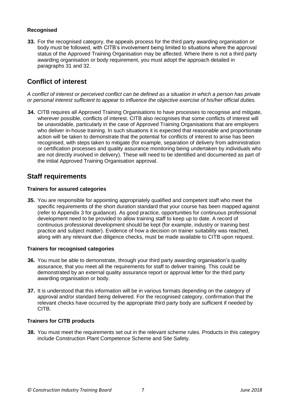#### **Recognised**

**33.** For the recognised category, the appeals process for the third party awarding organisation or body must be followed, with CITB's involvement being limited to situations where the approval status of the Approved Training Organisation may be affected. Where there is not a third party awarding organisation or body requirement, you must adopt the approach detailed in paragraphs 31 and 32.

### **Conflict of interest**

*A conflict of interest or perceived conflict can be defined as a situation in which a person has private or personal interest sufficient to appear to influence the objective exercise of his/her official duties.*

**34.** CITB requires all Approved Training Organisations to have processes to recognise and mitigate, wherever possible, conflicts of interest. CITB also recognises that some conflicts of interest will be unavoidable, particularly in the case of Approved Training Organisations that are employers who deliver in-house training. In such situations it is expected that reasonable and proportionate action will be taken to demonstrate that the potential for conflicts of interest to arise has been recognised, with steps taken to mitigate (for example, separation of delivery from administration or certification processes and quality assurance monitoring being undertaken by individuals who are not directly involved in delivery). These will need to be identified and documented as part of the initial Approved Training Organisation approval.

### **Staff requirements**

#### **Trainers for assured categories**

**35.** You are responsible for appointing appropriately qualified and competent staff who meet the specific requirements of the short duration standard that your course has been mapped against (refer to Appendix 3 for guidance). As good practice, opportunities for continuous professional development need to be provided to allow training staff to keep up to date. A record of continuous professional development should be kept (for example, industry or training best practice and subject matter). Evidence of how a decision on trainer suitability was reached, along with any relevant due diligence checks, must be made available to CITB upon request.

#### **Trainers for recognised categories**

- **36.** You must be able to demonstrate, through your third party awarding organisation's quality assurance, that you meet all the requirements for staff to deliver training. This could be demonstrated by an external quality assurance report or approval letter for the third party awarding organisation or body.
- **37.** It is understood that this information will be in various formats depending on the category of approval and/or standard being delivered. For the recognised category, confirmation that the relevant checks have occurred by the appropriate third party body are sufficient if needed by CITB.

#### **Trainers for CITB products**

**38.** You must meet the requirements set out in the relevant scheme rules. Products in this category include Construction Plant Competence Scheme and Site Safety.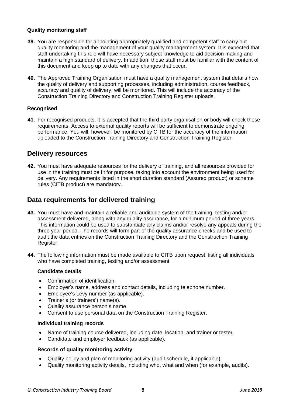#### **Quality monitoring staff**

- **39.** You are responsible for appointing appropriately qualified and competent staff to carry out quality monitoring and the management of your quality management system. It is expected that staff undertaking this role will have necessary subject knowledge to aid decision making and maintain a high standard of delivery. In addition, those staff must be familiar with the content of this document and keep up to date with any changes that occur.
- **40.** The Approved Training Organisation must have a quality management system that details how the quality of delivery and supporting processes, including administration, course feedback, accuracy and quality of delivery, will be monitored. This will include the accuracy of the Construction Training Directory and Construction Training Register uploads.

#### **Recognised**

**41.** For recognised products, it is accepted that the third party organisation or body will check these requirements. Access to external quality reports will be sufficient to demonstrate ongoing performance. You will, however, be monitored by CITB for the accuracy of the information uploaded to the Construction Training Directory and Construction Training Register.

#### **Delivery resources**

**42.** You must have adequate resources for the delivery of training, and all resources provided for use in the training must be fit for purpose, taking into account the environment being used for delivery. Any requirements listed in the short duration standard (Assured product) or scheme rules (CITB product) are mandatory.

### **Data requirements for delivered training**

- **43.** You must have and maintain a reliable and auditable system of the training, testing and/or assessment delivered, along with any quality assurance, for a minimum period of three years. This information could be used to substantiate any claims and/or resolve any appeals during the three year period. The records will form part of the quality assurance checks and be used to audit the data entries on the Construction Training Directory and the Construction Training Register.
- **44.** The following information must be made available to CITB upon request, listing all individuals who have completed training, testing and/or assessment.

#### **Candidate details**

- Confirmation of identification.
- Employer's name, address and contact details, including telephone number.
- Employee's Levy number (as applicable).
- Trainer's (or trainers') name(s).
- Quality assurance person's name.
- Consent to use personal data on the Construction Training Register.

#### **Individual training records**

- Name of training course delivered, including date, location, and trainer or tester.
- Candidate and employer feedback (as applicable).

#### **Records of quality monitoring activity**

- Quality policy and plan of monitoring activity (audit schedule, if applicable).
- Quality monitoring activity details, including who, what and when (for example, audits).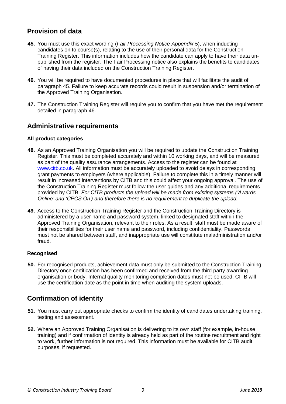## **Provision of data**

- **45.** You must use this exact wording (*Fair Processing Notice Appendix 5*), when inducting candidates on to course(s), relating to the use of their personal data for the Construction Training Register. This information includes how the candidate can apply to have their data unpublished from the register. The Fair Processing notice also explains the benefits to candidates of having their data included on the Construction Training Register.
- **46.** You will be required to have documented procedures in place that will facilitate the audit of paragraph 45. Failure to keep accurate records could result in suspension and/or termination of the Approved Training Organisation.
- **47.** The Construction Training Register will require you to confirm that you have met the requirement detailed in paragraph 46.

### **Administrative requirements**

#### **All product categories**

- **48.** As an Approved Training Organisation you will be required to update the Construction Training Register. This must be completed accurately and within 10 working days, and will be measured as part of the quality assurance arrangements. Access to the register can be found at [www.citb.co.uk.](http://www.my.citb.co.uk/) All information must be accurately uploaded to avoid delays in corresponding grant payments to employers (where applicable). Failure to complete this in a timely manner will result in increased interventions by CITB and this could affect your ongoing approval. The use of the Construction Training Register must follow the user guides and any additional requirements provided by CITB. *For CITB products the upload will be made from existing systems ('Awards Online' and 'CPCS On') and therefore there is no requirement to duplicate the upload.*
- **49.** Access to the Construction Training Register and the Construction Training Directory is administered by a user name and password system, linked to designated staff within the Approved Training Organisation, relevant to their roles. As a result, staff must be made aware of their responsibilities for their user name and password, including confidentiality. Passwords must not be shared between staff, and inappropriate use will constitute maladministration and/or fraud.

#### **Recognised**

**50.** For recognised products, achievement data must only be submitted to the Construction Training Directory once certification has been confirmed and received from the third party awarding organisation or body. Internal quality monitoring completion dates must not be used. CITB will use the certification date as the point in time when auditing the system uploads.

# **Confirmation of identity**

- **51.** You must carry out appropriate checks to confirm the identity of candidates undertaking training, testing and assessment.
- **52.** Where an Approved Training Organisation is delivering to its own staff (for example, in-house training) and if confirmation of identity is already held as part of the routine recruitment and right to work, further information is not required. This information must be available for CITB audit purposes, if requested.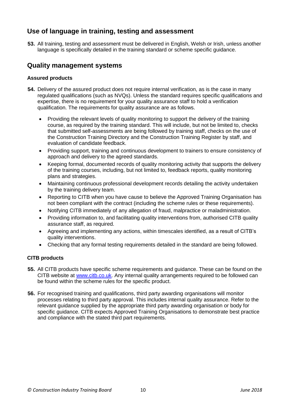### **Use of language in training, testing and assessment**

**53.** All training, testing and assessment must be delivered in English, Welsh or Irish, unless another language is specifically detailed in the training standard or scheme specific guidance.

### **Quality management systems**

#### **Assured products**

- **54.** Delivery of the assured product does not require internal verification, as is the case in many regulated qualifications (such as NVQs). Unless the standard requires specific qualifications and expertise, there is no requirement for your quality assurance staff to hold a verification qualification. The requirements for quality assurance are as follows.
	- Providing the relevant levels of quality monitoring to support the delivery of the training course, as required by the training standard. This will include, but not be limited to, checks that submitted self-assessments are being followed by training staff, checks on the use of the Construction Training Directory and the Construction Training Register by staff, and evaluation of candidate feedback.
	- Providing support, training and continuous development to trainers to ensure consistency of approach and delivery to the agreed standards.
	- Keeping formal, documented records of quality monitoring activity that supports the delivery of the training courses, including, but not limited to, feedback reports, quality monitoring plans and strategies.
	- Maintaining continuous professional development records detailing the activity undertaken by the training delivery team.
	- Reporting to CITB when you have cause to believe the Approved Training Organisation has not been compliant with the contract (including the scheme rules or these requirements).
	- Notifying CITB immediately of any allegation of fraud, malpractice or maladministration.
	- Providing information to, and facilitating quality interventions from, authorised CITB quality assurance staff, as required.
	- Agreeing and implementing any actions, within timescales identified, as a result of CITB's quality interventions.
	- Checking that any formal testing requirements detailed in the standard are being followed.

#### **CITB products**

- **55.** All CITB products have specific scheme requirements and guidance. These can be found on the CITB website at [www.citb.co.uk.](http://www.citb.co.uk/) Any internal quality arrangements required to be followed can be found within the scheme rules for the specific product.
- **56.** For recognised training and qualifications, third party awarding organisations will monitor processes relating to third party approval. This includes internal quality assurance. Refer to the relevant guidance supplied by the appropriate third party awarding organisation or body for specific guidance. CITB expects Approved Training Organisations to demonstrate best practice and compliance with the stated third part requirements.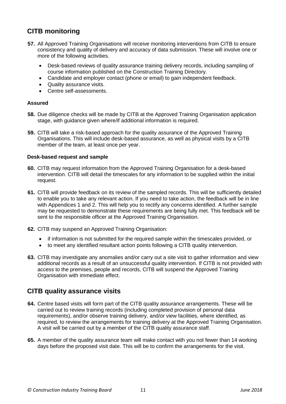# **CITB monitoring**

- **57.** All Approved Training Organisations will receive monitoring interventions from CITB to ensure consistency and quality of delivery and accuracy of data submission. These will involve one or more of the following activities.
	- Desk-based reviews of quality assurance training delivery records, including sampling of course information published on the Construction Training Directory.
	- Candidate and employer contact (phone or email) to gain independent feedback.
	- Quality assurance visits.
	- Centre self-assessments.

#### **Assured**

- **58.** Due diligence checks will be made by CITB at the Approved Training Organisation application stage, with guidance given where/if additional information is required.
- **59.** CITB will take a risk-based approach for the quality assurance of the Approved Training Organisations. This will include desk-based assurance, as well as physical visits by a CITB member of the team, at least once per year.

#### **Desk-based request and sample**

- **60.** CITB may request information from the Approved Training Organisation for a desk-based intervention. CITB will detail the timescales for any information to be supplied within the initial request.
- **61.** CITB will provide feedback on its review of the sampled records. This will be sufficiently detailed to enable you to take any relevant action. If you need to take action, the feedback will be in line with Appendices 1 and 2. This will help you to rectify any concerns identified. A further sample may be requested to demonstrate these requirements are being fully met. This feedback will be sent to the responsible officer at the Approved Training Organisation.
- **62.** CITB may suspend an Approved Training Organisation:
	- if information is not submitted for the required sample within the timescales provided, or
	- to meet any identified resultant action points following a CITB quality intervention.
- **63.** CITB may investigate any anomalies and/or carry out a site visit to gather information and view additional records as a result of an unsuccessful quality intervention. If CITB is not provided with access to the premises, people and records, CITB will suspend the Approved Training Organisation with immediate effect.

### **CITB quality assurance visits**

- **64.** Centre based visits will form part of the CITB quality assurance arrangements. These will be carried out to review training records (including completed provision of personal data requirements), and/or observe training delivery, and/or view facilities, where identified, as required, to review the arrangements for training delivery at the Approved Training Organisation. A visit will be carried out by a member of the CITB quality assurance staff.
- **65.** A member of the quality assurance team will make contact with you not fewer than 14 working days before the proposed visit date. This will be to confirm the arrangements for the visit.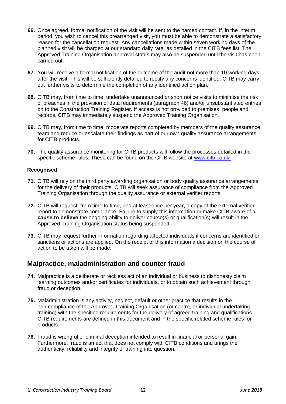- **66.** Once agreed, formal notification of the visit will be sent to the named contact. If, in the interim period, you wish to cancel this prearranged visit, you must be able to demonstrate a satisfactory reason for the cancellation request. Any cancellations made within seven working days of the planned visit will be charged at our standard daily rate, as detailed in the CITB fees list. The Approved Training Organisation approval status may also be suspended until the visit has been carried out.
- **67.** You will receive a formal notification of the outcome of the audit not more than 10 working days after the visit. This will be sufficiently detailed to rectify any concerns identified. CITB may carry out further visits to determine the completion of any identified action plan.
- **68.** CITB may, from time to time, undertake unannounced or short notice visits to minimise the risk of breaches in the provision of data requirements (paragraph 46) and/or unsubstantiated entries on to the Construction Training Register. If access is not provided to premises, people and records, CITB may immediately suspend the Approved Training Organisation.
- **69.** CITB may, from time to time, moderate reports completed by members of the quality assurance team and reduce or escalate their findings as part of our own quality assurance arrangements for CITB products.
- **70.** The quality assurance monitoring for CITB products will follow the processes detailed in the specific scheme rules. These can be found on the CITB website at [www.citb.co.uk.](http://www.citb.co.uk/)

#### **Recognised**

- **71.** CITB will rely on the third party awarding organisation or body quality assurance arrangements for the delivery of their products. CITB will seek assurance of compliance from the Approved Training Organisation through the quality assurance or external verifier reports.
- **72.** CITB will request, from time to time, and at least once per year, a copy of the external verifier report to demonstrate compliance. Failure to supply this information or make CITB aware of a **cause to believe** the ongoing ability to deliver course(s) or qualification(s) will result in the Approved Training Organisation status being suspended.
- **73.** CITB may request further information regarding affected individuals if concerns are identified or sanctions or actions are applied. On the receipt of this information a decision on the course of action to be taken will be made.

### **Malpractice, maladministration and counter fraud**

- **74.** Malpractice is a deliberate or reckless act of an individual or business to dishonesty claim learning outcomes and/or certificates for individuals, or to obtain such achievement through fraud or deception.
- **75.** Maladministration is any activity, neglect, default or other practice that results in the non-compliance of the Approved Training Organisation (or centre, or individual undertaking training) with the specified requirements for the delivery of agreed training and qualifications. CITB requirements are defined in this document and in the specific related scheme rules for products.
- **76.** Fraud is wrongful or criminal deception intended to result in financial or personal gain. Furthermore, fraud is an act that does not comply with CITB conditions and brings the authenticity, reliability and integrity of training into question.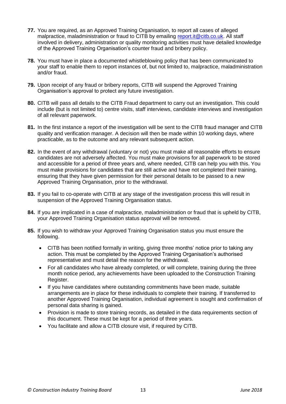- **77.** You are required, as an Approved Training Organisation, to report all cases of alleged malpractice, maladministration or fraud to CITB by emailing [report.it@citb.co.uk.](mailto:report.it@citb.co.uk) All staff involved in delivery, administration or quality monitoring activities must have detailed knowledge of the Approved Training Organisation's counter fraud and bribery policy.
- **78.** You must have in place a documented whistleblowing policy that has been communicated to your staff to enable them to report instances of, but not limited to, malpractice, maladministration and/or fraud.
- **79.** Upon receipt of any fraud or bribery reports, CITB will suspend the Approved Training Organisation's approval to protect any future investigation.
- **80.** CITB will pass all details to the CITB Fraud department to carry out an investigation. This could include (but is not limited to) centre visits, staff interviews, candidate interviews and investigation of all relevant paperwork.
- **81.** In the first instance a report of the investigation will be sent to the CITB fraud manager and CITB quality and verification manager. A decision will then be made within 10 working days, where practicable, as to the outcome and any relevant subsequent action.
- **82.** In the event of any withdrawal (voluntary or not) you must make all reasonable efforts to ensure candidates are not adversely affected. You must make provisions for all paperwork to be stored and accessible for a period of three years and, where needed, CITB can help you with this. You must make provisions for candidates that are still active and have not completed their training, ensuring that they have given permission for their personal details to be passed to a new Approved Training Organisation, prior to the withdrawal.
- **83.** If you fail to co-operate with CITB at any stage of the investigation process this will result in suspension of the Approved Training Organisation status.
- **84.** If you are implicated in a case of malpractice, maladministration or fraud that is upheld by CITB, your Approved Training Organisation status approval will be removed.
- **85.** If you wish to withdraw your Approved Training Organisation status you must ensure the following.
	- CITB has been notified formally in writing, giving three months' notice prior to taking any action. This must be completed by the Approved Training Organisation's authorised representative and must detail the reason for the withdrawal.
	- For all candidates who have already completed, or will complete, training during the three month notice period, any achievements have been uploaded to the Construction Training Register.
	- If you have candidates where outstanding commitments have been made, suitable arrangements are in place for these individuals to complete their training. If transferred to another Approved Training Organisation, individual agreement is sought and confirmation of personal data sharing is gained.
	- Provision is made to store training records, as detailed in the data requirements section of this document. These must be kept for a period of three years.
	- You facilitate and allow a CITB closure visit, if required by CITB.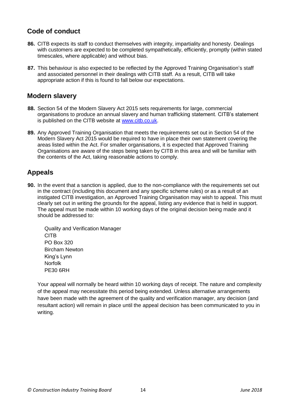### **Code of conduct**

- **86.** CITB expects its staff to conduct themselves with integrity, impartiality and honesty. Dealings with customers are expected to be completed sympathetically, efficiently, promptly (within stated timescales, where applicable) and without bias.
- **87.** This behaviour is also expected to be reflected by the Approved Training Organisation's staff and associated personnel in their dealings with CITB staff. As a result, CITB will take appropriate action if this is found to fall below our expectations.

### **Modern slavery**

- **88.** Section 54 of the Modern Slavery Act 2015 sets requirements for large, commercial organisations to produce an annual slavery and human trafficking statement. CITB's statement is published on the CITB website at [www.citb.co.uk.](http://www.citb.co.uk/)
- **89.** Any Approved Training Organisation that meets the requirements set out in Section 54 of the Modern Slavery Act 2015 would be required to have in place their own statement covering the areas listed within the Act. For smaller organisations, it is expected that Approved Training Organisations are aware of the steps being taken by CITB in this area and will be familiar with the contents of the Act, taking reasonable actions to comply.

## **Appeals**

**90.** In the event that a sanction is applied, due to the non-compliance with the requirements set out in the contract (including this document and any specific scheme rules) or as a result of an instigated CITB investigation, an Approved Training Organisation may wish to appeal. This must clearly set out in writing the grounds for the appeal, listing any evidence that is held in support. The appeal must be made within 10 working days of the original decision being made and it should be addressed to:

Quality and Verification Manager CITB PO Box 320 Bircham Newton King's Lynn Norfolk PE30 6RH

Your appeal will normally be heard within 10 working days of receipt. The nature and complexity of the appeal may necessitate this period being extended. Unless alternative arrangements have been made with the agreement of the quality and verification manager, any decision (and resultant action) will remain in place until the appeal decision has been communicated to you in writing.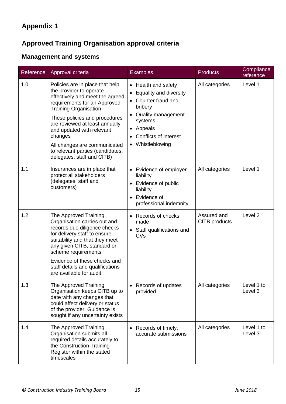# **Approved Training Organisation approval criteria**

# **Management and systems**

| Reference | Approval criteria                                                                                                                                                                                                                                                                                                                                                          | <b>Examples</b>                                                                                                                                                                             | <b>Products</b>              | Compliance<br>reference |
|-----------|----------------------------------------------------------------------------------------------------------------------------------------------------------------------------------------------------------------------------------------------------------------------------------------------------------------------------------------------------------------------------|---------------------------------------------------------------------------------------------------------------------------------------------------------------------------------------------|------------------------------|-------------------------|
| 1.0       | Policies are in place that help<br>the provider to operate<br>effectively and meet the agreed<br>requirements for an Approved<br><b>Training Organisation</b><br>These policies and procedures<br>are reviewed at least annually<br>and updated with relevant<br>changes<br>All changes are communicated<br>to relevant parties (candidates,<br>delegates, staff and CITB) | • Health and safety<br>• Equality and diversity<br>• Counter fraud and<br>bribery<br>• Quality management<br>systems<br>• Appeals<br>Conflicts of interest<br>$\bullet$<br>• Whistleblowing | All categories               | Level 1                 |
| 1.1       | Insurances are in place that<br>protect all stakeholders<br>(delegates, staff and<br>customers)                                                                                                                                                                                                                                                                            | • Evidence of employer<br>liability<br>Evidence of public<br>liability<br>Evidence of<br>$\bullet$<br>professional indemnity                                                                | All categories               | Level 1                 |
| 1.2       | The Approved Training<br>Organisation carries out and<br>records due diligence checks<br>for delivery staff to ensure<br>suitability and that they meet<br>any given CITB, standard or<br>scheme requirements<br>Evidence of these checks and<br>staff details and qualifications<br>are available for audit                                                               | Records of checks<br>made<br>• Staff qualifications and<br>CVs                                                                                                                              | Assured and<br>CITB products | Level <sub>2</sub>      |
| 1.3       | The Approved Training<br>Organisation keeps CITB up to<br>date with any changes that<br>could affect delivery or status<br>of the provider. Guidance is<br>sought if any uncertainty exists                                                                                                                                                                                | Records of updates<br>provided                                                                                                                                                              | All categories               | Level 1 to<br>Level 3   |
| 1.4       | The Approved Training<br>Organisation submits all<br>required details accurately to<br>the Construction Training<br>Register within the stated<br>timescales                                                                                                                                                                                                               | Records of timely,<br>accurate submissions                                                                                                                                                  | All categories               | Level 1 to<br>Level 3   |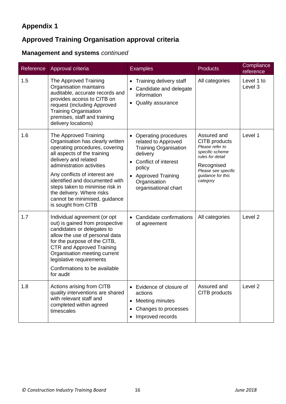# **Approved Training Organisation approval criteria**

# **Management and systems** *continued*

| Reference | Approval criteria                                                                                                                                                                                                                                                                                                                                                          | <b>Examples</b>                                                                                                                                                                                              | <b>Products</b>                                                                                                                                              | Compliance<br>reference |
|-----------|----------------------------------------------------------------------------------------------------------------------------------------------------------------------------------------------------------------------------------------------------------------------------------------------------------------------------------------------------------------------------|--------------------------------------------------------------------------------------------------------------------------------------------------------------------------------------------------------------|--------------------------------------------------------------------------------------------------------------------------------------------------------------|-------------------------|
| 1.5       | The Approved Training<br>Organisation maintains<br>auditable, accurate records and<br>provides access to CITB on<br>request (including Approved<br><b>Training Organisation</b><br>premises, staff and training<br>delivery locations)                                                                                                                                     | Training delivery staff<br>$\bullet$<br>Candidate and delegate<br>information<br>Quality assurance                                                                                                           | All categories                                                                                                                                               | Level 1 to<br>Level 3   |
| 1.6       | The Approved Training<br>Organisation has clearly written<br>operating procedures, covering<br>all aspects of the training<br>delivery and related<br>administration activities<br>Any conflicts of interest are<br>identified and documented with<br>steps taken to minimise risk in<br>the delivery. Where risks<br>cannot be minimised, guidance<br>is sought from CITB | • Operating procedures<br>related to Approved<br><b>Training Organisation</b><br>delivery<br>Conflict of interest<br>policy<br><b>Approved Training</b><br>$\bullet$<br>Organisation<br>organisational chart | Assured and<br>CITB products<br>Please refer to<br>specific scheme<br>rules for detail<br>Recognised<br>Please see specific<br>guidance for this<br>category | Level 1                 |
| 1.7       | Individual agreement (or opt<br>out) is gained from prospective<br>candidates or delegates to<br>allow the use of personal data<br>for the purpose of the CITB,<br><b>CTR and Approved Training</b><br>Organisation meeting current<br>legislative requirements<br>Confirmations to be available<br>for audit                                                              | Candidate confirmations<br>of agreement                                                                                                                                                                      | All categories                                                                                                                                               | Level <sub>2</sub>      |
| 1.8       | Actions arising from CITB<br>quality interventions are shared<br>with relevant staff and<br>completed within agreed<br>timescales                                                                                                                                                                                                                                          | Evidence of closure of<br>actions<br>Meeting minutes<br>$\bullet$<br>Changes to processes<br>Improved records                                                                                                | Assured and<br>CITB products                                                                                                                                 | Level <sub>2</sub>      |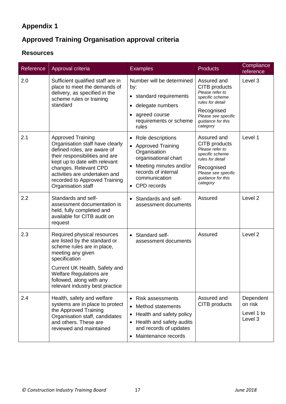# **Approved Training Organisation approval criteria**

### **Resources**

| Reference | Approval criteria                                                                                                                                                                                                                                                              | <b>Examples</b>                                                                                                                                                                               | <b>Products</b>                                                                                                                                              | Compliance<br>reference                       |
|-----------|--------------------------------------------------------------------------------------------------------------------------------------------------------------------------------------------------------------------------------------------------------------------------------|-----------------------------------------------------------------------------------------------------------------------------------------------------------------------------------------------|--------------------------------------------------------------------------------------------------------------------------------------------------------------|-----------------------------------------------|
| 2.0       | Sufficient qualified staff are in<br>place to meet the demands of<br>delivery, as specified in the<br>scheme rules or training<br>standard                                                                                                                                     | Number will be determined<br>by:<br>• standard requirements<br>· delegate numbers<br>• agreed course<br>requirements or scheme<br>rules                                                       | Assured and<br>CITB products<br>Please refer to<br>specific scheme<br>rules for detail<br>Recognised<br>Please see specific<br>guidance for this<br>category | Level 3                                       |
| 2.1       | <b>Approved Training</b><br>Organisation staff have clearly<br>defined roles, are aware of<br>their responsibilities and are<br>kept up to date with relevant<br>changes. Relevant CPD<br>activities are undertaken and<br>recorded to Approved Training<br>Organisation staff | • Role descriptions<br>• Approved Training<br>Organisation<br>organisational chart<br>Meeting minutes and/or<br>$\bullet$<br>records of internal<br>communication<br>CPD records<br>$\bullet$ | Assured and<br>CITB products<br>Please refer to<br>specific scheme<br>rules for detail<br>Recognised<br>Please see specific<br>guidance for this<br>category | Level 1                                       |
| 2.2       | Standards and self-<br>assessment documentation is<br>held, fully completed and<br>available for CITB audit on<br>request                                                                                                                                                      | • Standards and self-<br>assessment documents                                                                                                                                                 | Assured                                                                                                                                                      | Level <sub>2</sub>                            |
| 2.3       | Required physical resources<br>are listed by the standard or<br>scheme rules are in place,<br>meeting any given<br>specification<br>Current UK Health, Safety and<br><b>Welfare Regulations are</b><br>followed, along with any<br>relevant industry best practice             | • Standard self-<br>assessment documents                                                                                                                                                      | Assured                                                                                                                                                      | Level <sub>2</sub>                            |
| 2.4       | Health, safety and welfare<br>systems are in place to protect<br>the Approved Training<br>Organisation staff, candidates<br>and others. These are<br>reviewed and maintained                                                                                                   | • Risk assessments<br>Method statements<br>Health and safety policy<br>$\bullet$<br>Health and safety audits<br>and records of updates<br>Maintenance records                                 | Assured and<br>CITB products                                                                                                                                 | Dependent<br>on risk<br>Level 1 to<br>Level 3 |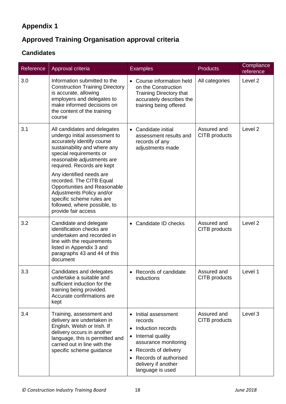# **Approved Training Organisation approval criteria**

# **Candidates**

| Reference | Approval criteria                                                                                                                                                                                                                                                                                                                                                                                                           | <b>Examples</b>                                                                                                                                                                                                       | <b>Products</b>              | Compliance<br>reference |
|-----------|-----------------------------------------------------------------------------------------------------------------------------------------------------------------------------------------------------------------------------------------------------------------------------------------------------------------------------------------------------------------------------------------------------------------------------|-----------------------------------------------------------------------------------------------------------------------------------------------------------------------------------------------------------------------|------------------------------|-------------------------|
| 3.0       | Information submitted to the<br><b>Construction Training Directory</b><br>is accurate, allowing<br>employers and delegates to<br>make informed decisions on<br>the content of the training<br>course                                                                                                                                                                                                                        | • Course information held<br>on the Construction<br><b>Training Directory that</b><br>accurately describes the<br>training being offered                                                                              | All categories               | Level <sub>2</sub>      |
| 3.1       | All candidates and delegates<br>undergo initial assessment to<br>accurately identify course<br>sustainability and where any<br>special requirements or<br>reasonable adjustments are<br>required. Records are kept<br>Any identified needs are<br>recorded. The CITB Equal<br>Opportunities and Reasonable<br>Adjustments Policy and/or<br>specific scheme rules are<br>followed, where possible, to<br>provide fair access | • Candidate initial<br>assessment results and<br>records of any<br>adjustments made                                                                                                                                   | Assured and<br>CITB products | Level 2                 |
| 3.2       | Candidate and delegate<br>identification checks are<br>undertaken and recorded in<br>line with the requirements<br>listed in Appendix 3 and<br>paragraphs 43 and 44 of this<br>document                                                                                                                                                                                                                                     | Candidate ID checks                                                                                                                                                                                                   | Assured and<br>CITB products | Level <sub>2</sub>      |
| 3.3       | Candidates and delegates<br>undertake a suitable and<br>sufficient induction for the<br>training being provided.<br>Accurate confirmations are<br>kept                                                                                                                                                                                                                                                                      | • Records of candidate<br>inductions                                                                                                                                                                                  | Assured and<br>CITB products | Level 1                 |
| 3.4       | Training, assessment and<br>delivery are undertaken in<br>English, Welsh or Irish. If<br>delivery occurs in another<br>language, this is permitted and<br>carried out in line with the<br>specific scheme guidance                                                                                                                                                                                                          | • Initial assessment<br>records<br>Induction records<br>$\bullet$<br>Internal quality<br>assurance monitoring<br>Records of delivery<br>$\bullet$<br>Records of authorised<br>delivery if another<br>language is used | Assured and<br>CITB products | Level 3                 |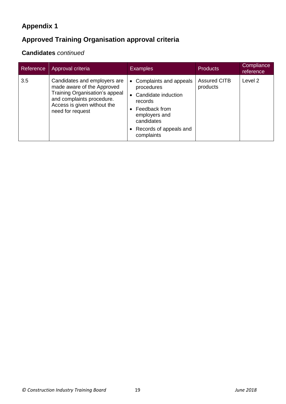# **Approved Training Organisation approval criteria**

# **Candidates** *continued*

| Reference | Approval criteria                                                                                                                                                            | <b>Examples</b>                                                                                                                                                               | <b>Products</b>                 | Compliance<br>reference |
|-----------|------------------------------------------------------------------------------------------------------------------------------------------------------------------------------|-------------------------------------------------------------------------------------------------------------------------------------------------------------------------------|---------------------------------|-------------------------|
| 3.5       | Candidates and employers are<br>made aware of the Approved<br>Training Organisation's appeal<br>and complaints procedure.<br>Access is given without the<br>need for request | Complaints and appeals<br>$\bullet$<br>procedures<br>Candidate induction<br>records<br>Feedback from<br>employers and<br>candidates<br>• Records of appeals and<br>complaints | <b>Assured CITB</b><br>products | Level 2                 |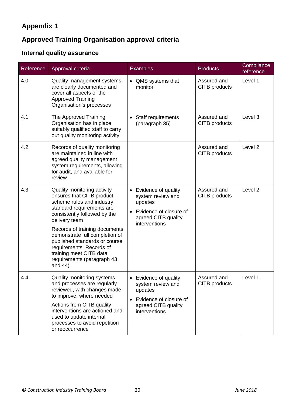# **Approved Training Organisation approval criteria**

# **Internal quality assurance**

| Reference | Approval criteria                                                                                                                                                                                                                                                                                                                                                         | <b>Examples</b>                                                                                                                    | <b>Products</b>              | Compliance<br>reference |
|-----------|---------------------------------------------------------------------------------------------------------------------------------------------------------------------------------------------------------------------------------------------------------------------------------------------------------------------------------------------------------------------------|------------------------------------------------------------------------------------------------------------------------------------|------------------------------|-------------------------|
| 4.0       | Quality management systems<br>are clearly documented and<br>cover all aspects of the<br><b>Approved Training</b><br>Organisation's processes                                                                                                                                                                                                                              | • QMS systems that<br>monitor                                                                                                      | Assured and<br>CITB products | Level 1                 |
| 4.1       | The Approved Training<br>Organisation has in place<br>suitably qualified staff to carry<br>out quality monitoring activity                                                                                                                                                                                                                                                | Staff requirements<br>(paragraph 35)                                                                                               | Assured and<br>CITB products | Level 3                 |
| 4.2       | Records of quality monitoring<br>are maintained in line with<br>agreed quality management<br>system requirements, allowing<br>for audit, and available for<br>review                                                                                                                                                                                                      |                                                                                                                                    | Assured and<br>CITB products | Level <sub>2</sub>      |
| 4.3       | Quality monitoring activity<br>ensures that CITB product<br>scheme rules and industry<br>standard requirements are<br>consistently followed by the<br>delivery team<br>Records of training documents<br>demonstrate full completion of<br>published standards or course<br>requirements. Records of<br>training meet CITB data<br>requirements (paragraph 43<br>and $44)$ | • Evidence of quality<br>system review and<br>updates<br>Evidence of closure of<br>agreed CITB quality<br>interventions            | Assured and<br>CITB products | Level <sub>2</sub>      |
| 4.4       | Quality monitoring systems<br>and processes are regularly<br>reviewed, with changes made<br>to improve, where needed<br>Actions from CITB quality<br>interventions are actioned and<br>used to update internal<br>processes to avoid repetition<br>or reoccurrence                                                                                                        | Evidence of quality<br>system review and<br>updates<br>Evidence of closure of<br>$\bullet$<br>agreed CITB quality<br>interventions | Assured and<br>CITB products | Level 1                 |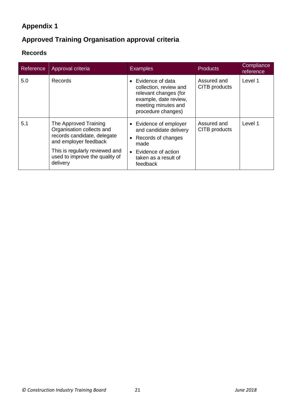# **Approved Training Organisation approval criteria**

# **Records**

| Reference | Approval criteria                                                                                                                                                                          | <b>Examples</b>                                                                                                                              | <b>Products</b>              | Compliance<br>reference |
|-----------|--------------------------------------------------------------------------------------------------------------------------------------------------------------------------------------------|----------------------------------------------------------------------------------------------------------------------------------------------|------------------------------|-------------------------|
| 5.0       | <b>Records</b>                                                                                                                                                                             | Evidence of data<br>collection, review and<br>relevant changes (for<br>example, date review,<br>meeting minutes and<br>procedure changes)    | Assured and<br>CITB products | Level 1                 |
| 5.1       | The Approved Training<br>Organisation collects and<br>records candidate, delegate<br>and employer feedback<br>This is regularly reviewed and<br>used to improve the quality of<br>delivery | • Evidence of employer<br>and candidate delivery<br>• Records of changes<br>made<br>• Evidence of action<br>taken as a result of<br>feedback | Assured and<br>CITB products | Level 1                 |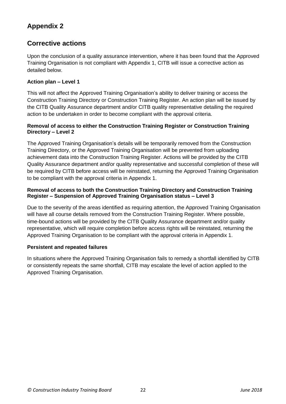## **Corrective actions**

Upon the conclusion of a quality assurance intervention, where it has been found that the Approved Training Organisation is not compliant with Appendix 1, CITB will issue a corrective action as detailed below.

#### **Action plan – Level 1**

This will not affect the Approved Training Organisation's ability to deliver training or access the Construction Training Directory or Construction Training Register. An action plan will be issued by the CITB Quality Assurance department and/or CITB quality representative detailing the required action to be undertaken in order to become compliant with the approval criteria.

#### **Removal of access to either the Construction Training Register or Construction Training Directory – Level 2**

The Approved Training Organisation's details will be temporarily removed from the Construction Training Directory, or the Approved Training Organisation will be prevented from uploading achievement data into the Construction Training Register. Actions will be provided by the CITB Quality Assurance department and/or quality representative and successful completion of these will be required by CITB before access will be reinstated, returning the Approved Training Organisation to be compliant with the approval criteria in Appendix 1.

#### **Removal of access to both the Construction Training Directory and Construction Training Register – Suspension of Approved Training Organisation status – Level 3**

Due to the severity of the areas identified as requiring attention, the Approved Training Organisation will have all course details removed from the Construction Training Register. Where possible, time-bound actions will be provided by the CITB Quality Assurance department and/or quality representative, which will require completion before access rights will be reinstated, returning the Approved Training Organisation to be compliant with the approval criteria in Appendix 1.

#### **Persistent and repeated failures**

In situations where the Approved Training Organisation fails to remedy a shortfall identified by CITB or consistently repeats the same shortfall, CITB may escalate the level of action applied to the Approved Training Organisation.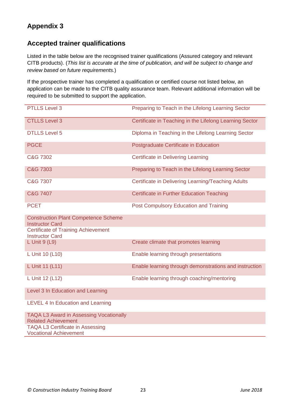### **Accepted trainer qualifications**

Listed in the table below are the recognised trainer qualifications (Assured category and relevant CITB products). (*This list is accurate at the time of publication, and will be subject to change and review based on future requirements.*)

If the prospective trainer has completed a qualification or certified course not listed below, an application can be made to the CITB quality assurance team. Relevant additional information will be required to be submitted to support the application.

| <b>PTLLS Level 3</b>                                                         | Preparing to Teach in the Lifelong Learning Sector      |
|------------------------------------------------------------------------------|---------------------------------------------------------|
| <b>CTLLS Level 3</b>                                                         | Certificate in Teaching in the Lifelong Learning Sector |
| <b>DTLLS Level 5</b>                                                         | Diploma in Teaching in the Lifelong Learning Sector     |
| <b>PGCE</b>                                                                  | Postgraduate Certificate in Education                   |
| C&G 7302                                                                     | <b>Certificate in Delivering Learning</b>               |
| C&G 7303                                                                     | Preparing to Teach in the Lifelong Learning Sector      |
| C&G 7307                                                                     | Certificate in Delivering Learning/Teaching Adults      |
| C&G 7407                                                                     | <b>Certificate in Further Education Teaching</b>        |
| <b>PCET</b>                                                                  | <b>Post Compulsory Education and Training</b>           |
| <b>Construction Plant Competence Scheme</b><br><b>Instructor Card</b>        |                                                         |
| <b>Certificate of Training Achievement</b><br><b>Instructor Card</b>         |                                                         |
| L Unit $9$ (L9)                                                              | Create climate that promotes learning                   |
| L Unit 10 (L10)                                                              | Enable learning through presentations                   |
| L Unit 11 (L11)                                                              | Enable learning through demonstrations and instruction  |
| L Unit 12 (L12)                                                              | Enable learning through coaching/mentoring              |
| Level 3 In Education and Learning                                            |                                                         |
| LEVEL 4 In Education and Learning                                            |                                                         |
| <b>TAQA L3 Award in Assessing Vocationally</b><br><b>Related Achievement</b> |                                                         |
| <b>TAQA L3 Certificate in Assessing</b><br><b>Vocational Achievement</b>     |                                                         |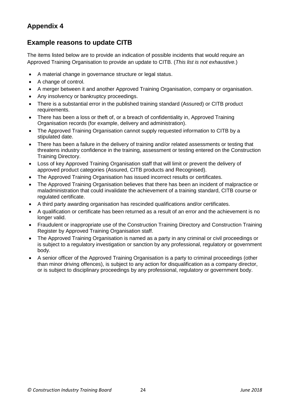### **Example reasons to update CITB**

The items listed below are to provide an indication of possible incidents that would require an Approved Training Organisation to provide an update to CITB. (*This list is not exhaustive.*)

- A material change in governance structure or legal status.
- A change of control.
- A merger between it and another Approved Training Organisation, company or organisation.
- Any insolvency or bankruptcy proceedings.
- There is a substantial error in the published training standard (Assured) or CITB product requirements.
- There has been a loss or theft of, or a breach of confidentiality in, Approved Training Organisation records (for example, delivery and administration).
- The Approved Training Organisation cannot supply requested information to CITB by a stipulated date.
- There has been a failure in the delivery of training and/or related assessments or testing that threatens industry confidence in the training, assessment or testing entered on the Construction Training Directory.
- Loss of key Approved Training Organisation staff that will limit or prevent the delivery of approved product categories (Assured, CITB products and Recognised).
- The Approved Training Organisation has issued incorrect results or certificates.
- The Approved Training Organisation believes that there has been an incident of malpractice or maladministration that could invalidate the achievement of a training standard, CITB course or regulated certificate.
- A third party awarding organisation has rescinded qualifications and/or certificates.
- A qualification or certificate has been returned as a result of an error and the achievement is no longer valid.
- Fraudulent or inappropriate use of the Construction Training Directory and Construction Training Register by Approved Training Organisation staff.
- The Approved Training Organisation is named as a party in any criminal or civil proceedings or is subject to a regulatory investigation or sanction by any professional, regulatory or government body.
- A senior officer of the Approved Training Organisation is a party to criminal proceedings (other than minor driving offences), is subject to any action for disqualification as a company director, or is subject to disciplinary proceedings by any professional, regulatory or government body.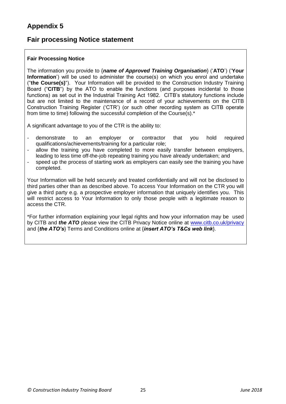### **Fair processing Notice statement**

#### **Fair Processing Notice**

The information you provide to {*name of Approved Training Organisation*} ('**ATO**') ('**Your Information**') will be used to administer the course(s) on which you enrol and undertake ("**the Course(s)**"). Your Information will be provided to the Construction Industry Training Board ("**CITB**") by the ATO to enable the functions (and purposes incidental to those functions) as set out in the Industrial Training Act 1982. CITB's statutory functions include but are not limited to the maintenance of a record of your achievements on the CITB Construction Training Register ('CTR') (or such other recording system as CITB operate from time to time) following the successful completion of the Course(s).\*

A significant advantage to you of the CTR is the ability to:

- demonstrate to an employer or contractor that you hold required qualifications/achievements/training for a particular role;
- allow the training you have completed to more easily transfer between employers. leading to less time off-the-job repeating training you have already undertaken; and
- speed up the process of starting work as employers can easily see the training you have completed.

Your Information will be held securely and treated confidentially and will not be disclosed to third parties other than as described above. To access Your Information on the CTR you will give a third party e.g. a prospective employer information that uniquely identifies you. This will restrict access to Your Information to only those people with a legitimate reason to access the CTR.

\*For further information explaining your legal rights and how your information may be used by CITB and *the ATO* please view the CITB Privacy Notice online at [www.citb.co.uk/privacy](http://www.citb.co.uk/privacy) and {*the ATO's*} Terms and Conditions online at {*insert ATO's T&Cs web link*}.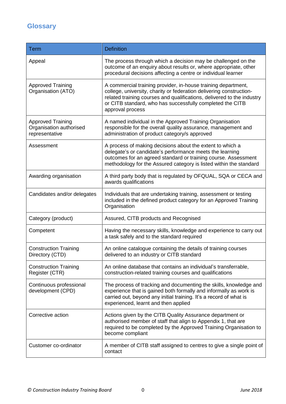# **Glossary**

| <b>Term</b>                                                           | <b>Definition</b>                                                                                                                                                                                                                                                                               |
|-----------------------------------------------------------------------|-------------------------------------------------------------------------------------------------------------------------------------------------------------------------------------------------------------------------------------------------------------------------------------------------|
| Appeal                                                                | The process through which a decision may be challenged on the<br>outcome of an enquiry about results or, where appropriate, other<br>procedural decisions affecting a centre or individual learner                                                                                              |
| <b>Approved Training</b><br>Organisation (ATO)                        | A commercial training provider, in-house training department,<br>college, university, charity or federation delivering construction-<br>related training courses and qualifications, delivered to the industry<br>or CITB standard, who has successfully completed the CITB<br>approval process |
| <b>Approved Training</b><br>Organisation authorised<br>representative | A named individual in the Approved Training Organisation<br>responsible for the overall quality assurance, management and<br>administration of product category/s approved                                                                                                                      |
| Assessment                                                            | A process of making decisions about the extent to which a<br>delegate's or candidate's performance meets the learning<br>outcomes for an agreed standard or training course. Assessment<br>methodology for the Assured category is listed within the standard                                   |
| Awarding organisation                                                 | A third party body that is regulated by OFQUAL, SQA or CECA and<br>awards qualifications                                                                                                                                                                                                        |
| Candidates and/or delegates                                           | Individuals that are undertaking training, assessment or testing<br>included in the defined product category for an Approved Training<br>Organisation                                                                                                                                           |
| Category (product)                                                    | Assured, CITB products and Recognised                                                                                                                                                                                                                                                           |
| Competent                                                             | Having the necessary skills, knowledge and experience to carry out<br>a task safely and to the standard required                                                                                                                                                                                |
| <b>Construction Training</b><br>Directory (CTD)                       | An online catalogue containing the details of training courses<br>delivered to an industry or CITB standard                                                                                                                                                                                     |
| <b>Construction Training</b><br>Register (CTR)                        | An online database that contains an individual's transferrable,<br>construction-related training courses and qualifications                                                                                                                                                                     |
| Continuous professional<br>development (CPD)                          | The process of tracking and documenting the skills, knowledge and<br>experience that is gained both formally and informally as work is<br>carried out, beyond any initial training. It's a record of what is<br>experienced, learnt and then applied                                            |
| Corrective action                                                     | Actions given by the CITB Quality Assurance department or<br>authorised member of staff that align to Appendix 1, that are<br>required to be completed by the Approved Training Organisation to<br>become compliant                                                                             |
| Customer co-ordinator                                                 | A member of CITB staff assigned to centres to give a single point of<br>contact                                                                                                                                                                                                                 |